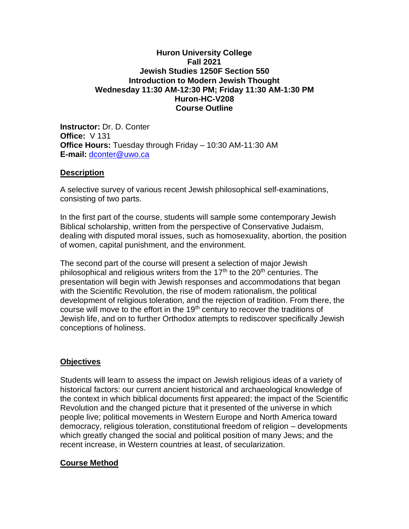### **Huron University College Fall 2021 Jewish Studies 1250F Section 550 Introduction to Modern Jewish Thought Wednesday 11:30 AM-12:30 PM; Friday 11:30 AM-1:30 PM Huron-HC-V208 Course Outline**

**Instructor:** Dr. D. Conter **Office:** V 131 **Office Hours:** Tuesday through Friday – 10:30 AM-11:30 AM **E-mail:** [dconter@uwo.ca](mailto:dconter@uwo.ca)

## **Description**

A selective survey of various recent Jewish philosophical self-examinations, consisting of two parts.

In the first part of the course, students will sample some contemporary Jewish Biblical scholarship, written from the perspective of Conservative Judaism, dealing with disputed moral issues, such as homosexuality, abortion, the position of women, capital punishment, and the environment.

The second part of the course will present a selection of major Jewish philosophical and religious writers from the  $17<sup>th</sup>$  to the  $20<sup>th</sup>$  centuries. The presentation will begin with Jewish responses and accommodations that began with the Scientific Revolution, the rise of modern rationalism, the political development of religious toleration, and the rejection of tradition. From there, the course will move to the effort in the 19<sup>th</sup> century to recover the traditions of Jewish life, and on to further Orthodox attempts to rediscover specifically Jewish conceptions of holiness.

## **Objectives**

Students will learn to assess the impact on Jewish religious ideas of a variety of historical factors: our current ancient historical and archaeological knowledge of the context in which biblical documents first appeared; the impact of the Scientific Revolution and the changed picture that it presented of the universe in which people live; political movements in Western Europe and North America toward democracy, religious toleration, constitutional freedom of religion – developments which greatly changed the social and political position of many Jews; and the recent increase, in Western countries at least, of secularization.

# **Course Method**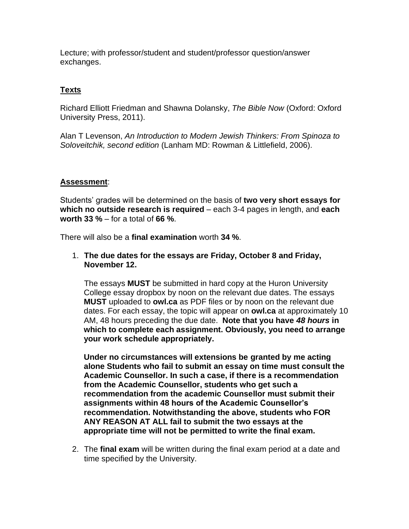Lecture; with professor/student and student/professor question/answer exchanges.

# **Texts**

Richard Elliott Friedman and Shawna Dolansky, *The Bible Now* (Oxford: Oxford University Press, 2011).

Alan T Levenson, *An Introduction to Modern Jewish Thinkers: From Spinoza to Soloveitchik, second edition* (Lanham MD: Rowman & Littlefield, 2006).

## **Assessment**:

Students' grades will be determined on the basis of **two very short essays for which no outside research is required** – each 3-4 pages in length, and **each worth 33 %** – for a total of **66 %**.

There will also be a **final examination** worth **34 %**.

1. **The due dates for the essays are Friday, October 8 and Friday, November 12.**

The essays **MUST** be submitted in hard copy at the Huron University College essay dropbox by noon on the relevant due dates. The essays **MUST** uploaded to **owl.ca** as PDF files or by noon on the relevant due dates. For each essay, the topic will appear on **owl.ca** at approximately 10 AM, 48 hours preceding the due date. **Note that you have** *48 hours* **in which to complete each assignment. Obviously, you need to arrange your work schedule appropriately.**

**Under no circumstances will extensions be granted by me acting alone Students who fail to submit an essay on time must consult the Academic Counsellor. In such a case, if there is a recommendation from the Academic Counsellor, students who get such a recommendation from the academic Counsellor must submit their assignments within 48 hours of the Academic Counsellor's recommendation. Notwithstanding the above, students who FOR ANY REASON AT ALL fail to submit the two essays at the appropriate time will not be permitted to write the final exam.**

2. The **final exam** will be written during the final exam period at a date and time specified by the University.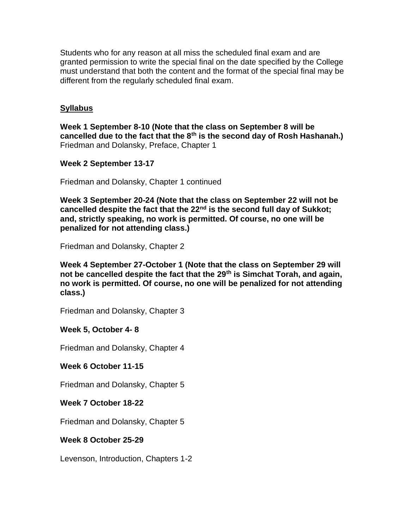Students who for any reason at all miss the scheduled final exam and are granted permission to write the special final on the date specified by the College must understand that both the content and the format of the special final may be different from the regularly scheduled final exam.

## **Syllabus**

**Week 1 September 8-10 (Note that the class on September 8 will be cancelled due to the fact that the 8th is the second day of Rosh Hashanah.)** Friedman and Dolansky, Preface, Chapter 1

**Week 2 September 13-17**

Friedman and Dolansky, Chapter 1 continued

**Week 3 September 20-24 (Note that the class on September 22 will not be cancelled despite the fact that the 22nd is the second full day of Sukkot; and, strictly speaking, no work is permitted. Of course, no one will be penalized for not attending class.)**

Friedman and Dolansky, Chapter 2

**Week 4 September 27-October 1 (Note that the class on September 29 will not be cancelled despite the fact that the 29th is Simchat Torah, and again, no work is permitted. Of course, no one will be penalized for not attending class.)**

Friedman and Dolansky, Chapter 3

## **Week 5, October 4- 8**

Friedman and Dolansky, Chapter 4

**Week 6 October 11-15**

Friedman and Dolansky, Chapter 5

**Week 7 October 18-22**

Friedman and Dolansky, Chapter 5

## **Week 8 October 25-29**

Levenson, Introduction, Chapters 1-2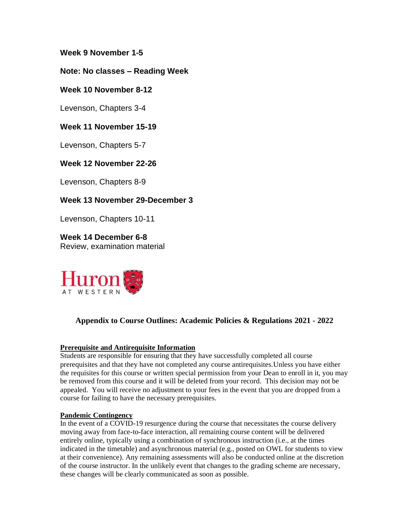**Week 9 November 1-5**

## **Note: No classes – Reading Week**

### **Week 10 November 8-12**

Levenson, Chapters 3-4

## **Week 11 November 15-19**

Levenson, Chapters 5-7

### **Week 12 November 22-26**

Levenson, Chapters 8-9

## **Week 13 November 29-December 3**

Levenson, Chapters 10-11

**Week 14 December 6-8** Review, examination material



## **Appendix to Course Outlines: Academic Policies & Regulations 2021 - 2022**

#### **Prerequisite and Antirequisite Information**

Students are responsible for ensuring that they have successfully completed all course prerequisites and that they have not completed any course antirequisites.Unless you have either the requisites for this course or written special permission from your Dean to enroll in it, you may be removed from this course and it will be deleted from your record. This decision may not be appealed. You will receive no adjustment to your fees in the event that you are dropped from a course for failing to have the necessary prerequisites.

#### **Pandemic Contingency**

In the event of a COVID-19 resurgence during the course that necessitates the course delivery moving away from face-to-face interaction, all remaining course content will be delivered entirely online, typically using a combination of synchronous instruction (i.e., at the times indicated in the timetable) and asynchronous material (e.g., posted on OWL for students to view at their convenience). Any remaining assessments will also be conducted online at the discretion of the course instructor. In the unlikely event that changes to the grading scheme are necessary, these changes will be clearly communicated as soon as possible.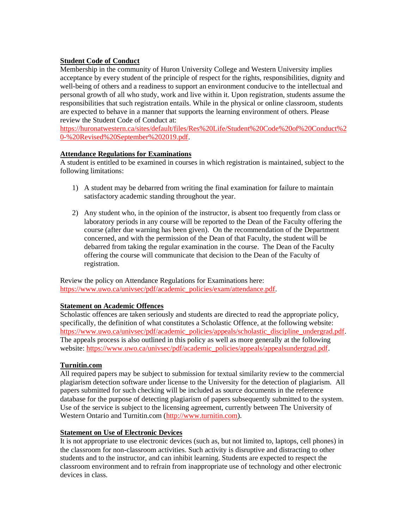### **Student Code of Conduct**

Membership in the community of Huron University College and Western University implies acceptance by every student of the principle of respect for the rights, responsibilities, dignity and well-being of others and a readiness to support an environment conducive to the intellectual and personal growth of all who study, work and live within it. Upon registration, students assume the responsibilities that such registration entails. While in the physical or online classroom, students are expected to behave in a manner that supports the learning environment of others. Please review the Student Code of Conduct at:

[https://huronatwestern.ca/sites/default/files/Res%20Life/Student%20Code%20of%20Conduct%2](https://huronatwestern.ca/sites/default/files/Res%20Life/Student%20Code%20of%20Conduct%20-%20Revised%20September%202019.pdf) [0-%20Revised%20September%202019.pdf.](https://huronatwestern.ca/sites/default/files/Res%20Life/Student%20Code%20of%20Conduct%20-%20Revised%20September%202019.pdf)

#### **Attendance Regulations for Examinations**

A student is entitled to be examined in courses in which registration is maintained, subject to the following limitations:

- 1) A student may be debarred from writing the final examination for failure to maintain satisfactory academic standing throughout the year.
- 2) Any student who, in the opinion of the instructor, is absent too frequently from class or laboratory periods in any course will be reported to the Dean of the Faculty offering the course (after due warning has been given). On the recommendation of the Department concerned, and with the permission of the Dean of that Faculty, the student will be debarred from taking the regular examination in the course. The Dean of the Faculty offering the course will communicate that decision to the Dean of the Faculty of registration.

Review the policy on Attendance Regulations for Examinations here: [https://www.uwo.ca/univsec/pdf/academic\\_policies/exam/attendance.pdf.](https://www.uwo.ca/univsec/pdf/academic_policies/exam/attendance.pdf)

#### **Statement on Academic Offences**

Scholastic offences are taken seriously and students are directed to read the appropriate policy, specifically, the definition of what constitutes a Scholastic Offence, at the following website: [https://www.uwo.ca/univsec/pdf/academic\\_policies/appeals/scholastic\\_discipline\\_undergrad.pdf.](https://www.uwo.ca/univsec/pdf/academic_policies/appeals/scholastic_discipline_undergrad.pdf) The appeals process is also outlined in this policy as well as more generally at the following website: [https://www.uwo.ca/univsec/pdf/academic\\_policies/appeals/appealsundergrad.pdf.](https://www.uwo.ca/univsec/pdf/academic_policies/appeals/appealsundergrad.pdf)

### **Turnitin.com**

All required papers may be subject to submission for textual similarity review to the commercial plagiarism detection software under license to the University for the detection of plagiarism. All papers submitted for such checking will be included as source documents in the reference database for the purpose of detecting plagiarism of papers subsequently submitted to the system. Use of the service is subject to the licensing agreement, currently between The University of Western Ontario and Turnitin.com [\(http://www.turnitin.com\)](http://www.turnitin.com/).

### **Statement on Use of Electronic Devices**

It is not appropriate to use electronic devices (such as, but not limited to, laptops, cell phones) in the classroom for non-classroom activities. Such activity is disruptive and distracting to other students and to the instructor, and can inhibit learning. Students are expected to respect the classroom environment and to refrain from inappropriate use of technology and other electronic devices in class.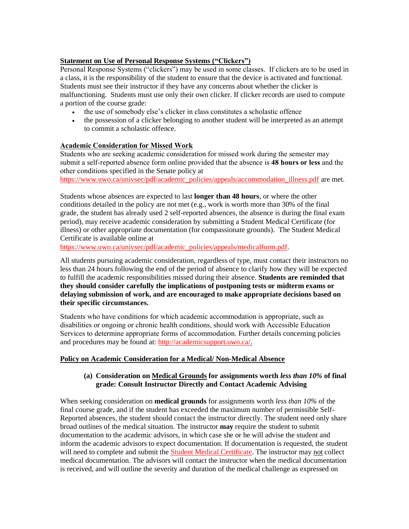### **Statement on Use of Personal Response Systems ("Clickers")**

Personal Response Systems ("clickers") may be used in some classes. If clickers are to be used in a class, it is the responsibility of the student to ensure that the device is activated and functional. Students must see their instructor if they have any concerns about whether the clicker is malfunctioning. Students must use only their own clicker. If clicker records are used to compute a portion of the course grade:

- the use of somebody else's clicker in class constitutes a scholastic offence
- the possession of a clicker belonging to another student will be interpreted as an attempt to commit a scholastic offence.

### **Academic Consideration for Missed Work**

Students who are seeking academic consideration for missed work during the semester may submit a self-reported absence form online provided that the absence is **48 hours or less** and the other conditions specified in the Senate policy at

[https://www.uwo.ca/univsec/pdf/academic\\_policies/appeals/accommodation\\_illness.pdf](https://www.uwo.ca/univsec/pdf/academic_policies/appeals/accommodation_illness.pdf) are met.

Students whose absences are expected to last **longer than 48 hours**, or where the other conditions detailed in the policy are not met (e.g., work is worth more than 30% of the final grade, the student has already used 2 self-reported absences, the absence is during the final exam period), may receive academic consideration by submitting a Student Medical Certificate (for illness) or other appropriate documentation (for compassionate grounds). The Student Medical Certificate is available online at

[https://www.uwo.ca/univsec/pdf/academic\\_policies/appeals/medicalform.pdf.](https://www.uwo.ca/univsec/pdf/academic_policies/appeals/medicalform.pdf)

All students pursuing academic consideration, regardless of type, must contact their instructors no less than 24 hours following the end of the period of absence to clarify how they will be expected to fulfill the academic responsibilities missed during their absence. **Students are reminded that they should consider carefully the implications of postponing tests or midterm exams or delaying submission of work, and are encouraged to make appropriate decisions based on their specific circumstances.**

Students who have conditions for which academic accommodation is appropriate, such as disabilities or ongoing or chronic health conditions, should work with Accessible Education Services to determine appropriate forms of accommodation. Further details concerning policies and procedures may be found at: [http://academicsupport.uwo.ca/.](http://academicsupport.uwo.ca/)

#### **Policy on Academic Consideration for a Medical/ Non-Medical Absence**

### **(a) Consideration on Medical Grounds for assignments worth** *less than 10%* **of final grade: Consult Instructor Directly and Contact Academic Advising**

When seeking consideration on **medical grounds** for assignments worth *less than 10%* of the final course grade, and if the student has exceeded the maximum number of permissible Self-Reported absences, the student should contact the instructor directly. The student need only share broad outlines of the medical situation. The instructor **may** require the student to submit documentation to the academic advisors, in which case she or he will advise the student and inform the academic advisors to expect documentation. If documentation is requested, the student will need to complete and submit the **Student Medical Certificate**. The instructor may not collect medical documentation. The advisors will contact the instructor when the medical documentation is received, and will outline the severity and duration of the medical challenge as expressed on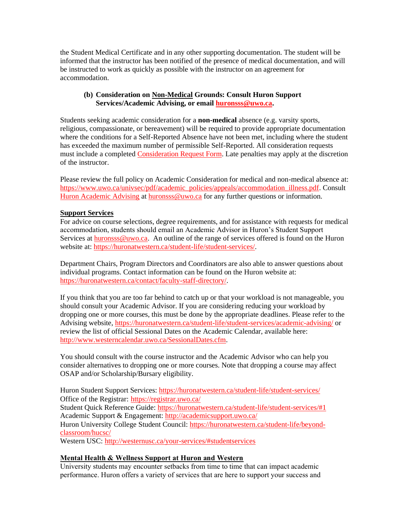the Student Medical Certificate and in any other supporting documentation. The student will be informed that the instructor has been notified of the presence of medical documentation, and will be instructed to work as quickly as possible with the instructor on an agreement for accommodation.

### **(b) Consideration on Non-Medical Grounds: Consult Huron Support Services/Academic Advising, or email [huronsss@uwo.ca.](mailto:huronsss@uwo.ca)**

Students seeking academic consideration for a **non-medical** absence (e.g. varsity sports, religious, compassionate, or bereavement) will be required to provide appropriate documentation where the conditions for a Self-Reported Absence have not been met, including where the student has exceeded the maximum number of permissible Self-Reported. All consideration requests must include a complete[d Consideration Request Form.](https://huronatwestern.ca/sites/default/files/Forms/Academic%20Consideration%20Request%20Form%202020.pdf) Late penalties may apply at the discretion of the instructor.

Please review the full policy on Academic Consideration for medical and non-medical absence at: [https://www.uwo.ca/univsec/pdf/academic\\_policies/appeals/accommodation\\_illness.pdf.](https://www.uwo.ca/univsec/pdf/academic_policies/appeals/accommodation_illness.pdf) Consult [Huron Academic Advising](https://huronatwestern.ca/student-life/student-services/academic-advising/) at [huronsss@uwo.ca](mailto:huronsss@uwo.ca) for any further questions or information.

### **Support Services**

For advice on course selections, degree requirements, and for assistance with requests for medical accommodation, students should email an Academic Advisor in Huron's Student Support Services a[t huronsss@uwo.ca.](mailto:huronsss@uwo.ca) An outline of the range of services offered is found on the Huron website at: [https://huronatwestern.ca/student-life/student-services/.](https://huronatwestern.ca/student-life/student-services/)

Department Chairs, Program Directors and Coordinators are also able to answer questions about individual programs. Contact information can be found on the Huron website at: [https://huronatwestern.ca/contact/faculty-staff-directory/.](https://huronatwestern.ca/contact/faculty-staff-directory/)

If you think that you are too far behind to catch up or that your workload is not manageable, you should consult your Academic Advisor. If you are considering reducing your workload by dropping one or more courses, this must be done by the appropriate deadlines. Please refer to the Advising website, <https://huronatwestern.ca/student-life/student-services/academic-advising/> or review the list of official Sessional Dates on the Academic Calendar, available here: [http://www.westerncalendar.uwo.ca/SessionalDates.cfm.](http://www.westerncalendar.uwo.ca/SessionalDates.cfm)

You should consult with the course instructor and the Academic Advisor who can help you consider alternatives to dropping one or more courses. Note that dropping a course may affect OSAP and/or Scholarship/Bursary eligibility.

Huron Student Support Services:<https://huronatwestern.ca/student-life/student-services/> Office of the Registrar: <https://registrar.uwo.ca/> Student Quick Reference Guide:<https://huronatwestern.ca/student-life/student-services/#1> Academic Support & Engagement:<http://academicsupport.uwo.ca/> Huron University College Student Council: [https://huronatwestern.ca/student-life/beyond](https://huronatwestern.ca/student-life/beyond-classroom/hucsc/)[classroom/hucsc/](https://huronatwestern.ca/student-life/beyond-classroom/hucsc/) 

Western USC[: http://westernusc.ca/your-services/#studentservices](http://westernusc.ca/your-services/#studentservices)

### **Mental Health & Wellness Support at Huron and Western**

University students may encounter setbacks from time to time that can impact academic performance. Huron offers a variety of services that are here to support your success and